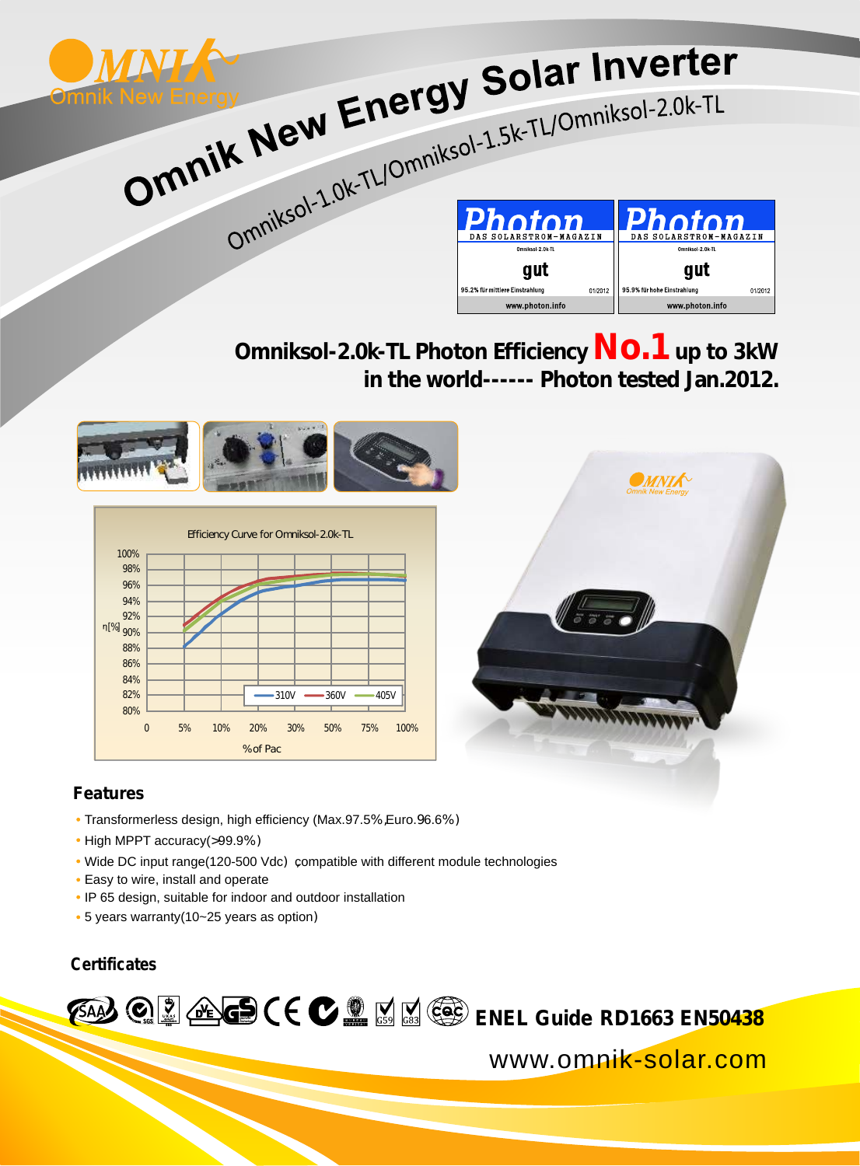

Omniksol-2.0k-TL Photon Efficiency  $\mathsf{NO}.1$  up to 3kW  **in the world------ Photon tested Jan.2012.**



## **Features**

- Transformerless design, high efficiency (Max.97.5%,Euro.96.6%)
- High MPPT accuracy(>99.9%)
- Wide DC input range(120-500 Vdc) compatible with different module technologies
- Easy to wire, install and operate
- IP 65 design, suitable for indoor and outdoor installation
- 5 years warranty(10~25 years as option)

## **Certificates**

**EAAA @ @ @ GS ( E @ @** M M @ ENEL Guide RD1663 EN50438

www.omnik-solar.com